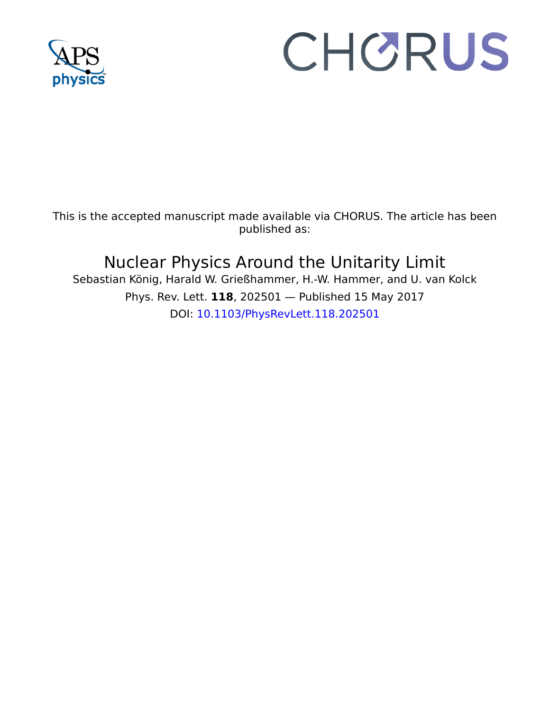

## CHORUS

This is the accepted manuscript made available via CHORUS. The article has been published as:

## Nuclear Physics Around the Unitarity Limit

Sebastian König, Harald W. Grießhammer, H.-W. Hammer, and U. van Kolck Phys. Rev. Lett. **118**, 202501 — Published 15 May 2017 DOI: [10.1103/PhysRevLett.118.202501](http://dx.doi.org/10.1103/PhysRevLett.118.202501)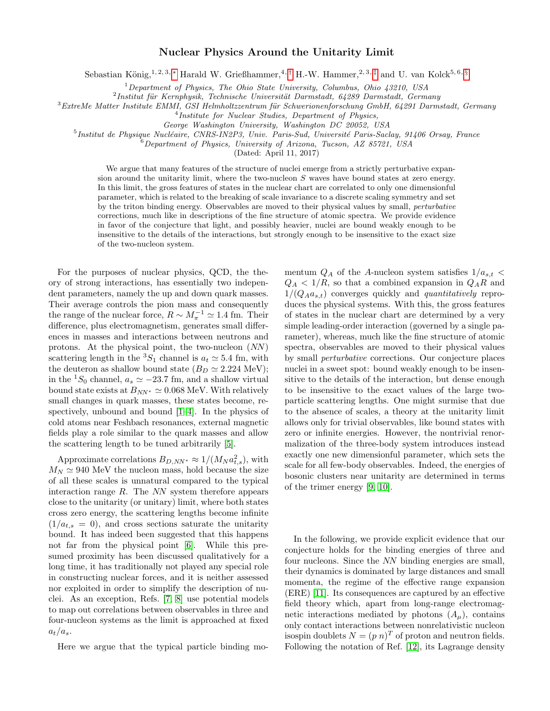## Nuclear Physics Around the Unitarity Limit

Sebastian König,<sup>1, 2, 3, \*</sup> Harald W. Grießhammer,<sup>4,[†](#page-5-1)</sup> H.-W. Hammer,<sup>2, 3, [‡](#page-5-2)</sup> and U. van Kolck<sup>5, 6, [§](#page-5-3)</sup>

<sup>1</sup>Department of Physics, The Ohio State University, Columbus, Ohio 43210, USA

 $^{2}$ Institut für Kernphysik, Technische Universität Darmstadt, 64289 Darmstadt, Germany

 $3$ ExtreMe Matter Institute EMMI, GSI Helmholtzzentrum für Schwerionenforschung GmbH, 64291 Darmstadt, Germany

<sup>4</sup>Institute for Nuclear Studies, Department of Physics,

George Washington University, Washington DC 20052, USA

 $^{5}$ Institut de Physique Nucléaire, CNRS-IN2P3, Univ. Paris-Sud, Université Paris-Saclay, 91406 Orsay, France

<sup>6</sup>Department of Physics, University of Arizona, Tucson, AZ 85721, USA

(Dated: April 11, 2017)

We argue that many features of the structure of nuclei emerge from a strictly perturbative expansion around the unitarity limit, where the two-nucleon  $S$  waves have bound states at zero energy. In this limit, the gross features of states in the nuclear chart are correlated to only one dimensionful parameter, which is related to the breaking of scale invariance to a discrete scaling symmetry and set by the triton binding energy. Observables are moved to their physical values by small, perturbative corrections, much like in descriptions of the fine structure of atomic spectra. We provide evidence in favor of the conjecture that light, and possibly heavier, nuclei are bound weakly enough to be insensitive to the details of the interactions, but strongly enough to be insensitive to the exact size of the two-nucleon system.

For the purposes of nuclear physics, QCD, the theory of strong interactions, has essentially two independent parameters, namely the up and down quark masses. Their average controls the pion mass and consequently the range of the nuclear force,  $R \sim M_{\pi}^{-1} \simeq 1.4$  fm. Their difference, plus electromagnetism, generates small differences in masses and interactions between neutrons and protons. At the physical point, the two-nucleon (NN) scattering length in the  ${}^3S_1$  channel is  $a_t \simeq 5.4$  fm, with the deuteron as shallow bound state  $(B_D \simeq 2.224 \text{ MeV});$ in the <sup>1</sup>S<sub>0</sub> channel,  $a_s \simeq -23.7$  fm, and a shallow virtual bound state exists at  $B_{NN^*} \simeq 0.068$  MeV. With relatively small changes in quark masses, these states become, respectively, unbound and bound [\[1–](#page-5-4)[4\]](#page-5-5). In the physics of cold atoms near Feshbach resonances, external magnetic fields play a role similar to the quark masses and allow the scattering length to be tuned arbitrarily [\[5\]](#page-5-6).

Approximate correlations  $B_{D, NN^*} \approx 1/(M_N a_{t,s}^2)$ , with  $M_N \simeq 940$  MeV the nucleon mass, hold because the size of all these scales is unnatural compared to the typical interaction range  $R$ . The  $NN$  system therefore appears close to the unitarity (or unitary) limit, where both states cross zero energy, the scattering lengths become infinite  $(1/a_{t,s} = 0)$ , and cross sections saturate the unitarity bound. It has indeed been suggested that this happens not far from the physical point [\[6\]](#page-5-7). While this presumed proximity has been discussed qualitatively for a long time, it has traditionally not played any special role in constructing nuclear forces, and it is neither assessed nor exploited in order to simplify the description of nuclei. As an exception, Refs. [\[7,](#page-5-8) [8\]](#page-5-9) use potential models to map out correlations between observables in three and four-nucleon systems as the limit is approached at fixed  $a_t/a_s$ .

Here we argue that the typical particle binding mo-

mentum  $Q_A$  of the A-nucleon system satisfies  $1/a_{s,t}$  <  $Q_A < 1/R$ , so that a combined expansion in  $Q_A R$  and  $1/(Q_A a_{s,t})$  converges quickly and *quantitatively* reproduces the physical systems. With this, the gross features of states in the nuclear chart are determined by a very simple leading-order interaction (governed by a single parameter), whereas, much like the fine structure of atomic spectra, observables are moved to their physical values by small perturbative corrections. Our conjecture places nuclei in a sweet spot: bound weakly enough to be insensitive to the details of the interaction, but dense enough to be insensitive to the exact values of the large twoparticle scattering lengths. One might surmise that due to the absence of scales, a theory at the unitarity limit allows only for trivial observables, like bound states with zero or infinite energies. However, the nontrivial renormalization of the three-body system introduces instead exactly one new dimensionful parameter, which sets the scale for all few-body observables. Indeed, the energies of bosonic clusters near unitarity are determined in terms of the trimer energy [\[9,](#page-5-10) [10\]](#page-5-11).

In the following, we provide explicit evidence that our conjecture holds for the binding energies of three and four nucleons. Since the NN binding energies are small, their dynamics is dominated by large distances and small momenta, the regime of the effective range expansion (ERE) [\[11\]](#page-5-12). Its consequences are captured by an effective field theory which, apart from long-range electromagnetic interactions mediated by photons  $(A<sub>u</sub>)$ , contains only contact interactions between nonrelativistic nucleon isospin doublets  $N = (p \; n)^T$  of proton and neutron fields. Following the notation of Ref. [\[12\]](#page-5-13), its Lagrange density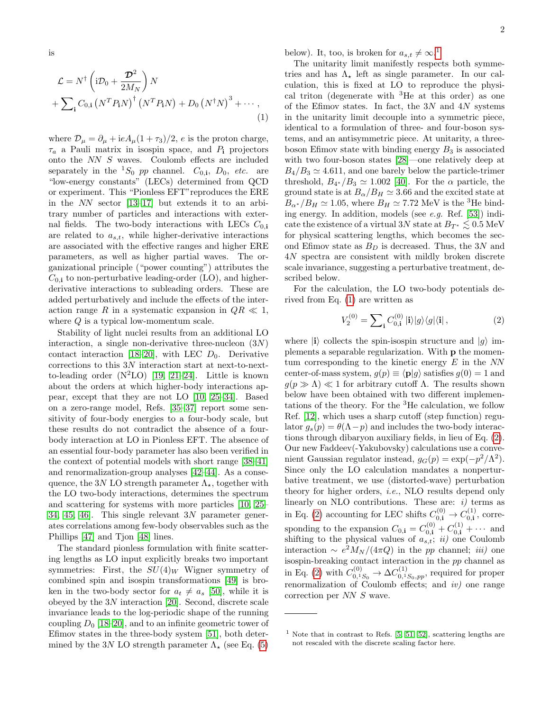is

$$
\mathcal{L} = N^{\dagger} \left( i\mathcal{D}_0 + \frac{\mathcal{D}^2}{2M_N} \right) N \n+ \sum_{\mathbf{i}} C_{0,\mathbf{i}} \left( N^T P_{\mathbf{i}} N \right)^{\dagger} \left( N^T P_{\mathbf{i}} N \right) + D_0 \left( N^{\dagger} N \right)^3 + \cdots,
$$
\n(1)

where  $\mathcal{D}_{\mu} = \partial_{\mu} + i e A_{\mu} (1 + \tau_3)/2$ , *e* is the proton charge,  $\tau_a$  a Pauli matrix in isospin space, and  $P_i$  projectors onto the NN S waves. Coulomb effects are included separately in the <sup>1</sup>S<sub>0</sub> pp channel.  $C_{0,i}$ ,  $D_0$ , etc. are "low-energy constants" (LECs) determined from QCD or experiment. This "Pionless EFT"reproduces the ERE in the NN sector [\[13](#page-5-14)[–17\]](#page-5-15) but extends it to an arbitrary number of particles and interactions with external fields. The two-body interactions with LECs  $C_{0,i}$ are related to  $a_{s,t}$ , while higher-derivative interactions are associated with the effective ranges and higher ERE parameters, as well as higher partial waves. The organizational principle ("power counting") attributes the  $C_{0,i}$  to non-perturbative leading-order (LO), and higherderivative interactions to subleading orders. These are added perturbatively and include the effects of the interaction range R in a systematic expansion in  $QR \ll 1$ , where  $Q$  is a typical low-momentum scale.

Stability of light nuclei results from an additional LO interaction, a single non-derivative three-nucleon  $(3N)$ contact interaction [\[18–](#page-5-16)[20\]](#page-5-17), with LEC  $D_0$ . Derivative corrections to this 3N interaction start at next-to-nextto-leading order  $(N^2LO)$  [\[19,](#page-5-18) [21–](#page-5-19)[24\]](#page-5-20). Little is known about the orders at which higher-body interactions appear, except that they are not LO [\[10,](#page-5-11) [25–](#page-5-21)[34\]](#page-6-0). Based on a zero-range model, Refs. [\[35–](#page-6-1)[37\]](#page-6-2) report some sensitivity of four-body energies to a four-body scale, but these results do not contradict the absence of a fourbody interaction at LO in Pionless EFT. The absence of an essential four-body parameter has also been verified in the context of potential models with short range [\[38](#page-6-3)[–41\]](#page-6-4) and renormalization-group analyses [\[42–](#page-6-5)[44\]](#page-6-6). As a consequence, the 3N LO strength parameter  $\Lambda_{\star}$ , together with the LO two-body interactions, determines the spectrum and scattering for systems with more particles [\[10,](#page-5-11) [25–](#page-5-21) [34,](#page-6-0) [45,](#page-6-7) 46. This single relevant  $3N$  parameter generates correlations among few-body observables such as the Phillips [\[47\]](#page-6-9) and Tjon [\[48\]](#page-6-10) lines.

The standard pionless formulation with finite scattering lengths as LO input explicitly breaks two important symmetries: First, the  $SU(4)_W$  Wigner symmetry of combined spin and isospin transformations [\[49\]](#page-6-11) is broken in the two-body sector for  $a_t \neq a_s$  [\[50\]](#page-6-12), while it is obeyed by the 3N interaction [\[20\]](#page-5-17). Second, discrete scale invariance leads to the log-periodic shape of the running coupling  $D_0$  [\[18–](#page-5-16)[20\]](#page-5-17), and to an infinite geometric tower of Efimov states in the three-body system [\[51\]](#page-6-13), both determined by the 3N LO strength parameter  $\Lambda_{\star}$  (see Eq. [\(5\)](#page-3-0)

below). It, too, is broken for  $a_{s,t} \neq \infty$ .<sup>[1](#page-2-0)</sup>

<span id="page-2-1"></span>The unitarity limit manifestly respects both symmetries and has  $\Lambda_{\star}$  left as single parameter. In our calculation, this is fixed at LO to reproduce the physical triton (degenerate with  ${}^{3}$ He at this order) as one of the Efimov states. In fact, the  $3N$  and  $4N$  systems in the unitarity limit decouple into a symmetric piece, identical to a formulation of three- and four-boson systems, and an antisymmetric piece. At unitarity, a threeboson Efimov state with binding energy  $B_3$  is associated with two four-boson states [\[28\]](#page-5-22)—one relatively deep at  $B_4/B_3 \simeq 4.611$ , and one barely below the particle-trimer threshold,  $B_{4*}/B_3 \simeq 1.002$  [\[40\]](#page-6-14). For the  $\alpha$  particle, the ground state is at  $B_{\alpha}/B_H \simeq 3.66$  and the excited state at  $B_{\alpha^*}/B_H \simeq 1.05$ , where  $B_H \simeq 7.72$  MeV is the <sup>3</sup>He binding energy. In addition, models (see e.g. Ref. [\[53\]](#page-6-15)) indicate the existence of a virtual 3N state at  $B_{T^*} \lesssim 0.5$  MeV for physical scattering lengths, which becomes the second Efimov state as  $B_D$  is decreased. Thus, the 3N and 4N spectra are consistent with mildly broken discrete scale invariance, suggesting a perturbative treatment, described below.

For the calculation, the LO two-body potentials derived from Eq. [\(1\)](#page-2-1) are written as

<span id="page-2-2"></span>
$$
V_2^{(0)} = \sum_{\mathbf{i}} C_{0,\mathbf{i}}^{(0)} |\mathbf{i}\rangle |g\rangle\langle g|\langle \mathbf{i}|,\tag{2}
$$

where  $|i\rangle$  collects the spin-isospin structure and  $|g\rangle$  implements a separable regularization. With p the momentum corresponding to the kinetic energy  $E$  in the  $NN$ center-of-mass system,  $g(p) \equiv \langle \mathbf{p} | g \rangle$  satisfies  $g(0) = 1$  and  $g(p \gg \Lambda) \ll 1$  for arbitrary cutoff  $\Lambda$ . The results shown below have been obtained with two different implementations of the theory. For the <sup>3</sup>He calculation, we follow Ref. [\[12\]](#page-5-13), which uses a sharp cutoff (step function) regulator  $g_s(p) = \theta(\Lambda - p)$  and includes the two-body interactions through dibaryon auxiliary fields, in lieu of Eq. [\(2\)](#page-2-2). Our new Faddeev(-Yakubovsky) calculations use a convenient Gaussian regulator instead,  $g_G(p) = \exp(-p^2/\Lambda^2)$ . Since only the LO calculation mandates a nonperturbative treatment, we use (distorted-wave) perturbation theory for higher orders, i.e., NLO results depend only linearly on NLO contributions. These are:  $i$ ) terms as in Eq. [\(2\)](#page-2-2) accounting for LEC shifts  $C_{0,i}^{(0)} \rightarrow C_{0,i}^{(1)}$  $_{0,i}^{(1)}$ , corresponding to the expansion  $C_{0,i} = C_{0,i}^{(0)} + C_{0,i}^{(1)} + \cdots$  and shifting to the physical values of  $a_{s,t}$ ; *ii*) one Coulomb interaction  $\sim e^2 M_N/(4\pi Q)$  in the pp channel; *iii*) one isospin-breaking contact interaction in the pp channel as in Eq. [\(2\)](#page-2-2) with  $C_{0,1}^{(0)}$  $\alpha_{0,^1S_0}^{(0)} \rightarrow \Delta C_{0,^1}^{(1)}$  $_{0,1}^{(1)}$ <sub> $_{0,1}^{(1)}$ </sub> required for proper renormalization of Coulomb effects; and iv) one range correction per NN S wave.

<span id="page-2-0"></span><sup>&</sup>lt;sup>1</sup> Note that in contrast to Refs.  $[5, 51, 52]$  $[5, 51, 52]$  $[5, 51, 52]$ , scattering lengths are not rescaled with the discrete scaling factor here.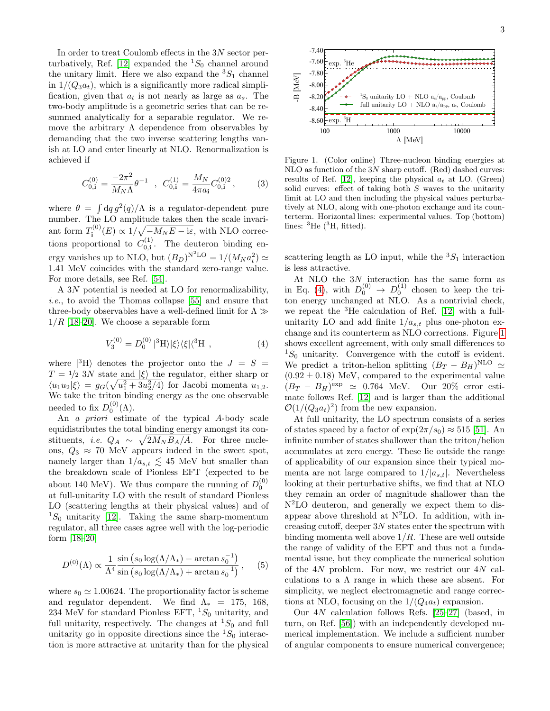In order to treat Coulomb effects in the 3N sector per-turbatively, Ref. [\[12\]](#page-5-13) expanded the  ${}^{1}S_{0}$  channel around the unitary limit. Here we also expand the  ${}^{3}S_{1}$  channel in  $1/(Q_3a_t)$ , which is a significantly more radical simplification, given that  $a_t$  is not nearly as large as  $a_s$ . The two-body amplitude is a geometric series that can be resummed analytically for a separable regulator. We remove the arbitrary  $\Lambda$  dependence from observables by demanding that the two inverse scattering lengths vanish at LO and enter linearly at NLO. Renormalization is achieved if

$$
C_{0,i}^{(0)} = \frac{-2\pi^2}{M_N \Lambda} \theta^{-1} , C_{0,i}^{(1)} = \frac{M_N}{4\pi a_i} C_{0,i}^{(0)2} ,
$$
 (3)

where  $\theta = \int dq g^2(q)/\Lambda$  is a regulator-dependent pure number. The LO amplitude takes then the scale invariant form  $T_i^{(0)}$  $i^{(0)}(E) \propto 1/\sqrt{-M_N E - i\varepsilon}$ , with NLO corrections proportional to  $C_{0}^{(1)}$  $_{0,i}^{(1)}$ . The deuteron binding energy vanishes up to NLO, but  $(B_D)^{N^2LO} = 1/(M_N a_t^2) \simeq$ 1.41 MeV coincides with the standard zero-range value. For more details, see Ref. [\[54\]](#page-6-17).

A 3N potential is needed at LO for renormalizability, i.e., to avoid the Thomas collapse [\[55\]](#page-6-18) and ensure that three-body observables have a well-defined limit for  $\Lambda \gg$  $1/R$  [\[18–](#page-5-16)[20\]](#page-5-17). We choose a separable form

<span id="page-3-1"></span>
$$
V_3^{(0)} = D_0^{(0)}|^3 \mathcal{H} \rangle |\xi\rangle \langle \xi| \langle ^3 \mathcal{H} | , \tag{4}
$$

where  $|^{3}H\rangle$  denotes the projector onto the  $J = S =$  $T = \frac{1}{2} 3N$  state and  $\ket{\xi}$  the regulator, either sharp or  $\langle u_1 u_2 | \xi \rangle = g_G(\sqrt{u_1^2 + 3u_2^2/4})$  for Jacobi momenta  $u_{1,2}$ . We take the triton binding energy as the one observable needed to fix  $D_0^{(0)}(\Lambda)$ .

An a priori estimate of the typical A-body scale equidistributes the total binding energy amongst its constituents, *i.e.*  $Q_A \sim \sqrt{2M_N B_A/A}$ . For three nucleons,  $Q_3 \approx 70$  MeV appears indeed in the sweet spot, namely larger than  $1/a_{s,t} \lesssim 45$  MeV but smaller than the breakdown scale of Pionless EFT (expected to be about 140 MeV). We thus compare the running of  $D_0^{(0)}$ at full-unitarity LO with the result of standard Pionless LO (scattering lengths at their physical values) and of  ${}^{1}S_{0}$  unitarity [\[12\]](#page-5-13). Taking the same sharp-momentum regulator, all three cases agree well with the log-periodic form [\[18](#page-5-16)[–20\]](#page-5-17)

<span id="page-3-0"></span>
$$
D^{(0)}(\Lambda) \propto \frac{1}{\Lambda^4} \frac{\sin (s_0 \log(\Lambda/\Lambda_*) - \arctan s_0^{-1})}{\sin (s_0 \log(\Lambda/\Lambda_*) + \arctan s_0^{-1})}, \quad (5)
$$

where  $s_0 \simeq 1.00624$ . The proportionality factor is scheme and regulator dependent. We find  $\Lambda_*$  = 175, 168, 234 MeV for standard Pionless EFT,  ${}^{1}S_{0}$  unitarity, and full unitarity, respectively. The changes at  ${}^{1}S_{0}$  and full unitarity go in opposite directions since the  ${}^{1}S_{0}$  interaction is more attractive at unitarity than for the physical



<span id="page-3-2"></span>Figure 1. (Color online) Three-nucleon binding energies at NLO as function of the  $3N$  sharp cutoff. (Red) dashed curves: results of Ref. [\[12\]](#page-5-13), keeping the physical  $a_t$  at LO. (Green) solid curves: effect of taking both  $S$  waves to the unitarity limit at LO and then including the physical values perturbatively at NLO, along with one-photon exchange and its counterterm. Horizontal lines: experimental values. Top (bottom) lines:  ${}^{3}$ He ( ${}^{3}$ H, fitted).

scattering length as LO input, while the  ${}^3S_1$  interaction is less attractive.

At NLO the 3N interaction has the same form as in Eq. [\(4\)](#page-3-1), with  $D_0^{(0)} \rightarrow D_0^{(1)}$  chosen to keep the triton energy unchanged at NLO. As a nontrivial check, we repeat the <sup>3</sup>He calculation of Ref. [\[12\]](#page-5-13) with a fullunitarity LO and add finite  $1/a_{s,t}$  plus one-photon exchange and its counterterm as NLO corrections. Figure [1](#page-3-2) shows excellent agreement, with only small differences to  ${}^{1}S_{0}$  unitarity. Convergence with the cutoff is evident. We predict a triton-helion splitting  $(B_T - B_H)^{\text{NLO}} \simeq$  $(0.92 \pm 0.18)$  MeV, compared to the experimental value  $(B_T - B_H)^{\text{exp}} \simeq 0.764 \text{ MeV}$ . Our 20% error estimate follows Ref. [\[12\]](#page-5-13) and is larger than the additional  $\mathcal{O}(1/(Q_3a_t)^2)$  from the new expansion.

At full unitarity, the LO spectrum consists of a series of states spaced by a factor of  $\exp(2\pi/s_0) \approx 515$  [\[51\]](#page-6-13). An infinite number of states shallower than the triton/helion accumulates at zero energy. These lie outside the range of applicability of our expansion since their typical momenta are not large compared to  $1/|a_{s,t}|$ . Nevertheless looking at their perturbative shifts, we find that at NLO they remain an order of magnitude shallower than the  $N^2LO$  deuteron, and generally we expect them to disappear above threshold at  $N^2LO$ . In addition, with increasing cutoff, deeper  $3N$  states enter the spectrum with binding momenta well above  $1/R$ . These are well outside the range of validity of the EFT and thus not a fundamental issue, but they complicate the numerical solution of the 4N problem. For now, we restrict our 4N calculations to a  $\Lambda$  range in which these are absent. For simplicity, we neglect electromagnetic and range corrections at NLO, focusing on the  $1/(Q_4a_t)$  expansion.

Our  $4N$  calculation follows Refs. [\[25](#page-5-21)[–27\]](#page-5-23) (based, in turn, on Ref. [\[56\]](#page-6-19)) with an independently developed numerical implementation. We include a sufficient number of angular components to ensure numerical convergence;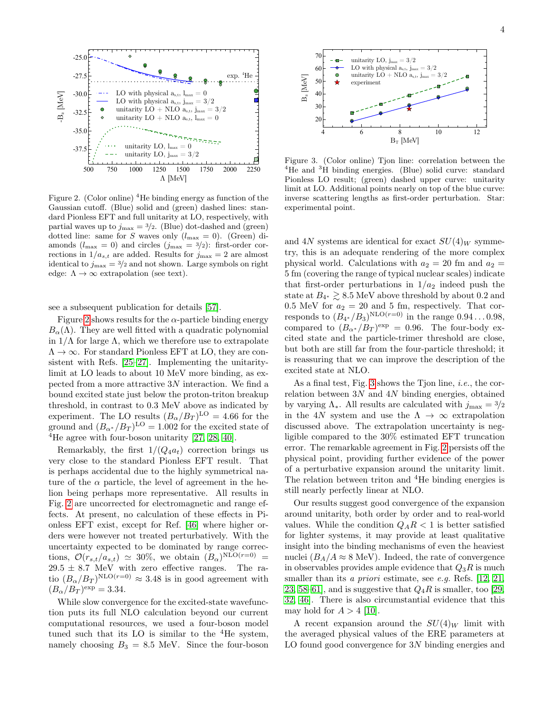

<span id="page-4-0"></span>Figure 2. (Color online)  ${}^{4}$ He binding energy as function of the Gaussian cutoff. (Blue) solid and (green) dashed lines: standard Pionless EFT and full unitarity at LO, respectively, with partial waves up to  $j_{\text{max}} = \frac{3}{2}$ . (Blue) dot-dashed and (green) dotted line: same for S waves only  $(l_{\text{max}} = 0)$ . (Green) diamonds  $(l_{\text{max}} = 0)$  and circles  $(j_{\text{max}} = 3/2)$ : first-order corrections in  $1/a_{s,t}$  are added. Results for  $j_{\text{max}} = 2$  are almost identical to  $j_{\text{max}} = 3/2$  and not shown. Large symbols on right edge:  $\Lambda \to \infty$  extrapolation (see text).

see a subsequent publication for details [\[57\]](#page-6-20).

Figure [2](#page-4-0) shows results for the  $\alpha$ -particle binding energy  $B_{\alpha}(\Lambda)$ . They are well fitted with a quadratic polynomial in  $1/\Lambda$  for large  $\Lambda$ , which we therefore use to extrapolate  $\Lambda \to \infty$ . For standard Pionless EFT at LO, they are consistent with Refs. [\[25](#page-5-21)[–27\]](#page-5-23). Implementing the unitaritylimit at LO leads to about 10 MeV more binding, as expected from a more attractive 3N interaction. We find a bound excited state just below the proton-triton breakup threshold, in contrast to 0.3 MeV above as indicated by experiment. The LO results  $(B_{\alpha}/B_T)^{LO} = 4.66$  for the ground and  $(B_{\alpha^*}/B_T)^{LO} = 1.002$  for the excited state of <sup>4</sup>He agree with four-boson unitarity  $[27, 28, 40]$  $[27, 28, 40]$  $[27, 28, 40]$ .

Remarkably, the first  $1/(Q_4a_t)$  correction brings us very close to the standard Pionless EFT result. That is perhaps accidental due to the highly symmetrical nature of the  $\alpha$  particle, the level of agreement in the helion being perhaps more representative. All results in Fig. [2](#page-4-0) are uncorrected for electromagnetic and range effects. At present, no calculation of these effects in Pionless EFT exist, except for Ref. [\[46\]](#page-6-8) where higher orders were however not treated perturbatively. With the uncertainty expected to be dominated by range corrections,  $\mathcal{O}(r_{s,t}/a_{s,t}) \simeq 30\%$ , we obtain  $(B_\alpha)^{\text{NLO}(r=0)}$  =  $29.5 \pm 8.7$  MeV with zero effective ranges. The ratio  $(B_{\alpha}/B_T)^{\text{NLO}(r=0)} \approx 3.48$  is in good agreement with  $(B_{\alpha}/B_T)^{\rm exp} = 3.34.$ 

While slow convergence for the excited-state wavefunction puts its full NLO calculation beyond our current computational resources, we used a four-boson model tuned such that its LO is similar to the  ${}^{4}$ He system, namely choosing  $B_3 = 8.5$  MeV. Since the four-boson



<span id="page-4-1"></span>Figure 3. (Color online) Tjon line: correlation between the <sup>4</sup>He and <sup>3</sup>H binding energies. (Blue) solid curve: standard Pionless LO result; (green) dashed upper curve: unitarity limit at LO. Additional points nearly on top of the blue curve: inverse scattering lengths as first-order perturbation. Star: experimental point.

and 4N systems are identical for exact  $SU(4)_W$  symmetry, this is an adequate rendering of the more complex physical world. Calculations with  $a_2 = 20$  fm and  $a_2 =$ 5 fm (covering the range of typical nuclear scales) indicate that first-order perturbations in  $1/a_2$  indeed push the state at  $B_{4^*} \geq 8.5$  MeV above threshold by about 0.2 and 0.5 MeV for  $a_2 = 20$  and 5 fm, respectively. That corresponds to  $(B_{4^*}/B_3)^{\text{NLO}(r=0)}$  in the range  $0.94\dots0.98$ , compared to  $(B_{\alpha^*}/B_T)^{\text{exp}} = 0.96$ . The four-body excited state and the particle-trimer threshold are close, but both are still far from the four-particle threshold; it is reassuring that we can improve the description of the excited state at NLO.

As a final test, Fig. [3](#page-4-1) shows the Tjon line, i.e., the correlation between  $3N$  and  $4N$  binding energies, obtained by varying  $\Lambda_*$ . All results are calculated with  $j_{\text{max}} = 3/2$ in the 4N system and use the  $\Lambda \to \infty$  extrapolation discussed above. The extrapolation uncertainty is negligible compared to the 30% estimated EFT truncation error. The remarkable agreement in Fig. [2](#page-4-0) persists off the physical point, providing further evidence of the power of a perturbative expansion around the unitarity limit. The relation between triton and <sup>4</sup>He binding energies is still nearly perfectly linear at NLO.

Our results suggest good convergence of the expansion around unitarity, both order by order and to real-world values. While the condition  $Q_A R < 1$  is better satisfied for lighter systems, it may provide at least qualitative insight into the binding mechanisms of even the heaviest nuclei  $(B_A/A \approx 8 \text{ MeV})$ . Indeed, the rate of convergence in observables provides ample evidence that  $Q_3R$  is much smaller than its *a priori* estimate, see *e.g.* Refs. [\[12,](#page-5-13) [21,](#page-5-19) [23,](#page-5-24) [58](#page-6-21)–61, and is suggestive that  $Q_4R$  is smaller, too [\[29,](#page-6-23) [32,](#page-6-24) [46\]](#page-6-8). There is also circumstantial evidence that this may hold for  $A > 4$  [\[10\]](#page-5-11).

A recent expansion around the  $SU(4)_W$  limit with the averaged physical values of the ERE parameters at LO found good convergence for 3N binding energies and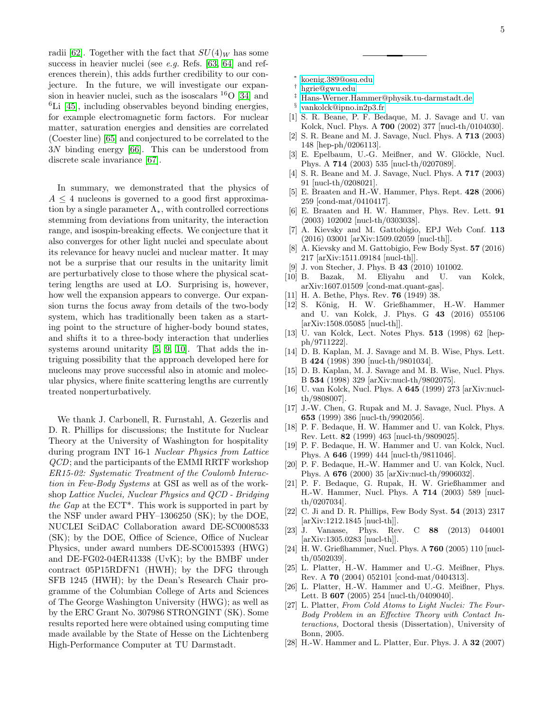radii [\[62\]](#page-6-25). Together with the fact that  $SU(4)_W$  has some success in heavier nuclei (see *e.g.* Refs. [\[63,](#page-6-26) [64\]](#page-6-27) and references therein), this adds further credibility to our conjecture. In the future, we will investigate our expansion in heavier nuclei, such as the isoscalars  ${}^{16}O$  [\[34\]](#page-6-0) and  ${}^{6}$ Li [\[45\]](#page-6-7), including observables beyond binding energies, for example electromagnetic form factors. For nuclear matter, saturation energies and densities are correlated (Coester line) [\[65\]](#page-6-28) and conjectured to be correlated to the 3N binding energy [\[66\]](#page-6-29). This can be understood from discrete scale invariance [\[67\]](#page-6-30).

In summary, we demonstrated that the physics of  $A \leq 4$  nucleons is governed to a good first approximation by a single parameter  $\Lambda_*$ , with controlled corrections stemming from deviations from unitarity, the interaction range, and isospin-breaking effects. We conjecture that it also converges for other light nuclei and speculate about its relevance for heavy nuclei and nuclear matter. It may not be a surprise that our results in the unitarity limit are perturbatively close to those where the physical scattering lengths are used at LO. Surprising is, however, how well the expansion appears to converge. Our expansion turns the focus away from details of the two-body system, which has traditionally been taken as a starting point to the structure of higher-body bound states, and shifts it to a three-body interaction that underlies systems around unitarity [\[5,](#page-5-6) [9,](#page-5-10) [10\]](#page-5-11). That adds the intriguing possibility that the approach developed here for nucleons may prove successful also in atomic and molecular physics, where finite scattering lengths are currently treated nonperturbatively.

We thank J. Carbonell, R. Furnstahl, A. Gezerlis and D. R. Phillips for discussions; the Institute for Nuclear Theory at the University of Washington for hospitality during program INT 16-1 Nuclear Physics from Lattice QCD; and the participants of the EMMI RRTF workshop ER15-02: Systematic Treatment of the Coulomb Interaction in Few-Body Systems at GSI as well as of the workshop Lattice Nuclei, Nuclear Physics and QCD - Bridging the Gap at the ECT<sup>\*</sup>. This work is supported in part by the NSF under award PHY–1306250 (SK); by the DOE, NUCLEI SciDAC Collaboration award DE-SC0008533 (SK); by the DOE, Office of Science, Office of Nuclear Physics, under award numbers DE-SC0015393 (HWG) and DE-FG02-04ER41338 (UvK); by the BMBF under contract 05P15RDFN1 (HWH); by the DFG through SFB 1245 (HWH); by the Dean's Research Chair programme of the Columbian College of Arts and Sciences of The George Washington University (HWG); as well as by the ERC Grant No. 307986 STRONGINT (SK). Some results reported here were obtained using computing time made available by the State of Hesse on the Lichtenberg High-Performance Computer at TU Darmstadt.

- <span id="page-5-0"></span>∗ [koenig.389@osu.edu](mailto:koenig.389@osu.edu)
- <span id="page-5-1"></span><sup>†</sup> [hgrie@gwu.edu](mailto:hgrie@gwu.edu)<br><sup>‡</sup> Hans-Werner H

<span id="page-5-3"></span>§

- <span id="page-5-2"></span>‡ [Hans-Werner.Hammer@physik.tu-darmstadt.de](mailto:Hans-Werner.Hammer@physik.tu-darmstadt.de)
	- [vankolck@ipno.in2p3.fr](mailto:vankolck@ipno.in2p3.fr)
- <span id="page-5-4"></span>[1] S. R. Beane, P. F. Bedaque, M. J. Savage and U. van Kolck, Nucl. Phys. A 700 (2002) 377 [nucl-th/0104030].
- [2] S. R. Beane and M. J. Savage, Nucl. Phys. A 713 (2003) 148 [hep-ph/0206113].
- [3] E. Epelbaum, U.-G. Meißner, and W. Glöckle, Nucl. Phys. A 714 (2003) 535 [nucl-th/0207089].
- <span id="page-5-5"></span>[4] S. R. Beane and M. J. Savage, Nucl. Phys. A 717 (2003) 91 [nucl-th/0208021].
- <span id="page-5-6"></span>[5] E. Braaten and H.-W. Hammer, Phys. Rept. 428 (2006) 259 [cond-mat/0410417].
- <span id="page-5-7"></span>[6] E. Braaten and H. W. Hammer, Phys. Rev. Lett. 91 (2003) 102002 [nucl-th/0303038].
- <span id="page-5-8"></span>[7] A. Kievsky and M. Gattobigio, EPJ Web Conf. 113 (2016) 03001 [arXiv:1509.02059 [nucl-th]].
- <span id="page-5-9"></span>[8] A. Kievsky and M. Gattobigio, Few Body Syst. 57 (2016) 217 [arXiv:1511.09184 [nucl-th]].
- <span id="page-5-10"></span>[9] J. von Stecher, J. Phys. B 43 (2010) 101002.
- <span id="page-5-11"></span>[10] B. Bazak, M. Eliyahu and U. van Kolck, arXiv:1607.01509 [cond-mat.quant-gas].
- <span id="page-5-12"></span>[11] H. A. Bethe, Phys. Rev. 76 (1949) 38.
- <span id="page-5-13"></span>[12] S. König, H. W. Grießhammer, H.-W. Hammer and U. van Kolck, J. Phys. G 43 (2016) 055106 [arXiv:1508.05085 [nucl-th]].
- <span id="page-5-14"></span>[13] U. van Kolck, Lect. Notes Phys. 513 (1998) 62 [hepph/9711222].
- [14] D. B. Kaplan, M. J. Savage and M. B. Wise, Phys. Lett. B 424 (1998) 390 [nucl-th/9801034].
- [15] D. B. Kaplan, M. J. Savage and M. B. Wise, Nucl. Phys. B 534 (1998) 329 [arXiv:nucl-th/9802075].
- [16] U. van Kolck, Nucl. Phys. A 645 (1999) 273 [arXiv:nuclth/9808007].
- <span id="page-5-15"></span>[17] J.-W. Chen, G. Rupak and M. J. Savage, Nucl. Phys. A 653 (1999) 386 [nucl-th/9902056].
- <span id="page-5-16"></span>[18] P. F. Bedaque, H. W. Hammer and U. van Kolck, Phys. Rev. Lett. 82 (1999) 463 [nucl-th/9809025].
- <span id="page-5-18"></span>[19] P. F. Bedaque, H. W. Hammer and U. van Kolck, Nucl. Phys. A 646 (1999) 444 [nucl-th/9811046].
- <span id="page-5-17"></span>[20] P. F. Bedaque, H.-W. Hammer and U. van Kolck, Nucl. Phys. A 676 (2000) 35 [arXiv:nucl-th/9906032].
- <span id="page-5-19"></span>[21] P. F. Bedaque, G. Rupak, H. W. Grießhammer and H.-W. Hammer, Nucl. Phys. A 714 (2003) 589 [nuclth/0207034].
- [22] C. Ji and D. R. Phillips, Few Body Syst. 54 (2013) 2317 [arXiv:1212.1845 [nucl-th]].
- <span id="page-5-24"></span>[23] J. Vanasse, Phys. Rev. C 88 (2013) 044001 [arXiv:1305.0283 [nucl-th]].
- <span id="page-5-20"></span>[24] H. W. Grießhammer, Nucl. Phys. A 760 (2005) 110 [nuclth/0502039].
- <span id="page-5-21"></span>[25] L. Platter, H.-W. Hammer and U.-G. Meißner, Phys. Rev. A 70 (2004) 052101 [cond-mat/0404313].
- [26] L. Platter, H.-W. Hammer and U.-G. Meißner, Phys. Lett. B 607 (2005) 254 [nucl-th/0409040].
- <span id="page-5-23"></span>[27] L. Platter, From Cold Atoms to Light Nuclei: The Four-Body Problem in an Effective Theory with Contact Interactions, Doctoral thesis (Dissertation), University of Bonn, 2005.
- <span id="page-5-22"></span>[28] H.-W. Hammer and L. Platter, Eur. Phys. J. A 32 (2007)